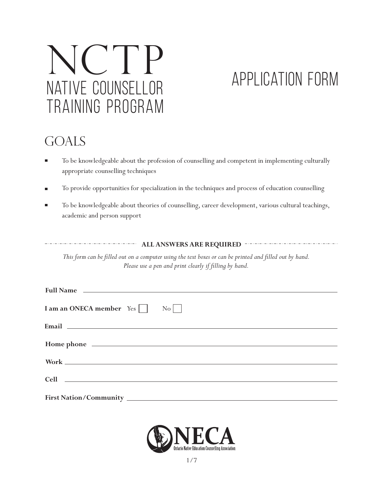# NATIVE COUNSELLOR TRAINING PROGRAM NCTP

## Application FORM

### **GOALS**

- $\blacksquare$ To be knowledgeable about the profession of counselling and competent in implementing culturally appropriate counselling techniques
- To provide opportunities for specialization in the techniques and process of education counselling  $\blacksquare$
- To be knowledgeable about theories of counselling, career development, various cultural teachings,  $\blacksquare$ academic and person support

**ALL ANSWERS ARE REQUIRED** -----------------

This form can be filled out on a computer using the text boxes or can be printed and filled out by hand. Please use a pen and print clearly if filling by hand.

| Full Name that the contract of the contract of the contract of the contract of the contract of the contract of the contract of the contract of the contract of the contract of the contract of the contract of the contract of |  |  |  |  |
|--------------------------------------------------------------------------------------------------------------------------------------------------------------------------------------------------------------------------------|--|--|--|--|
| I am an ONECA member Yes     No                                                                                                                                                                                                |  |  |  |  |
| Email 2008 - 2009 - 2009 - 2009 - 2009 - 2009 - 2009 - 2009 - 2009 - 2009 - 2009 - 2009 - 2009 - 2009 - 2009 -                                                                                                                 |  |  |  |  |
|                                                                                                                                                                                                                                |  |  |  |  |
|                                                                                                                                                                                                                                |  |  |  |  |
|                                                                                                                                                                                                                                |  |  |  |  |
| Cell contract the contract of the contract of the contract of the contract of the contract of the contract of the contract of the contract of the contract of the contract of the contract of the contract of the contract of  |  |  |  |  |
|                                                                                                                                                                                                                                |  |  |  |  |

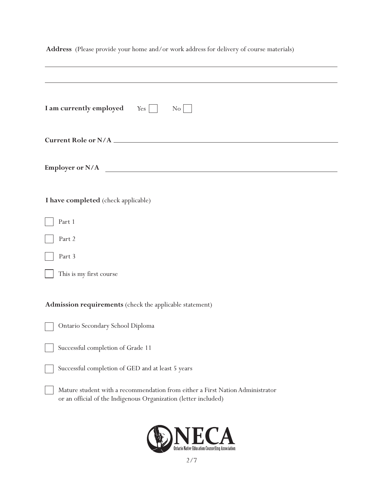| Address (Please provide your home and/or work address for delivery of course materials)                                                          |  |  |  |  |
|--------------------------------------------------------------------------------------------------------------------------------------------------|--|--|--|--|
|                                                                                                                                                  |  |  |  |  |
| I am currently employed $Yes \Box$<br>$\rm{No}$                                                                                                  |  |  |  |  |
|                                                                                                                                                  |  |  |  |  |
| Employer or N/A                                                                                                                                  |  |  |  |  |
| I have completed (check applicable)                                                                                                              |  |  |  |  |
| Part 1                                                                                                                                           |  |  |  |  |
| Part 2                                                                                                                                           |  |  |  |  |
| Part 3                                                                                                                                           |  |  |  |  |
| This is my first course                                                                                                                          |  |  |  |  |
| Admission requirements (check the applicable statement)                                                                                          |  |  |  |  |
| Ontario Secondary School Diploma                                                                                                                 |  |  |  |  |
| Successful completion of Grade 11                                                                                                                |  |  |  |  |
| Successful completion of GED and at least 5 years                                                                                                |  |  |  |  |
| Mature student with a recommendation from either a First Nation Administrator<br>or an official of the Indigenous Organization (letter included) |  |  |  |  |
| ANECA                                                                                                                                            |  |  |  |  |

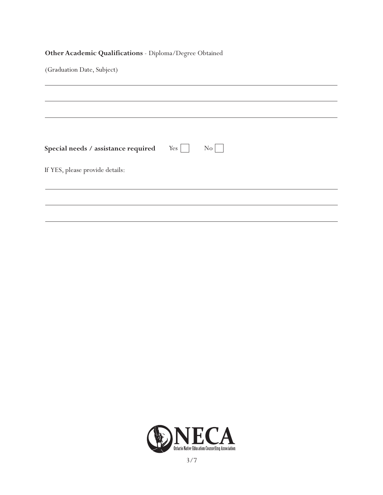#### **Other Academic Qualifications** - Diploma/Degree Obtained

(Graduation Date, Subject)

| Special needs / assistance required $Yes \Box$ | $\overline{N_0}$ |  |  |
|------------------------------------------------|------------------|--|--|
| If YES, please provide details:                |                  |  |  |
|                                                |                  |  |  |
|                                                |                  |  |  |
|                                                |                  |  |  |

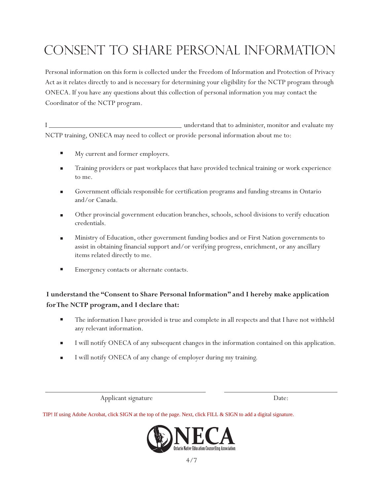### Consent to Share Personal Information

Personal information on this form is collected under the Freedom of Information and Protection of Privacy Act as it relates directly to and is necessary for determining your eligibility for the NCTP program through ONECA. If you have any questions about this collection of personal information you may contact the Coordinator of the NCTP program.

I understand that to administer, monitor and evaluate my NCTP training, ONECA may need to collect or provide personal information about me to:

- My current and former employers.
- Training providers or past workplaces that have provided technical training or work experience to me.
- Government officials responsible for certification programs and funding streams in Ontario and/or Canada.
- Other provincial government education branches, schools, school divisions to verify education credentials.
- Ministry of Education, other government funding bodies and or First Nation governments to ш assist in obtaining financial support and/or verifying progress, enrichment, or any ancillary items related directly to me.
- $\blacksquare$ Emergency contacts or alternate contacts.

#### **I understand the "Consent to Share Personal Information" and I hereby make application for The NCTP program, and I declare that:**

- $\blacksquare$ The information I have provided is true and complete in all respects and that I have not withheld any relevant information.
- I will notify ONECA of any subsequent changes in the information contained on this application.
- I will notify ONECA of any change of employer during my training.

Applicant signature Date:

TIP! If using Adobe Acrobat, click SIGN at the top of the page. Next, click FILL & SIGN to add a digital signature.

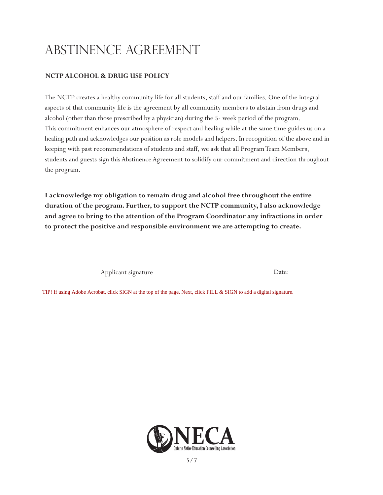### Abstinence Agreement

#### **NCTP ALCOHOL & DRUG USE POLICY**

The NCTP creates a healthy community life for all students, staff and our families. One of the integral aspects of that community life is the agreement by all community members to abstain from drugs and alcohol (other than those prescribed by a physician) during the 5- week period of the program. This commitment enhances our atmosphere of respect and healing while at the same time guides us on a healing path and acknowledges our position as role models and helpers. In recognition of the above and in keeping with past recommendations of students and staff, we ask that all Program Team Members, students and guests sign this Abstinence Agreement to solidify our commitment and direction throughout the program.

**I acknowledge my obligation to remain drug and alcohol free throughout the entire duration of the program. Further, to support the NCTP community, I also acknowledge and agree to bring to the attention of the Program Coordinator any infractions in order to protect the positive and responsible environment we are attempting to create.**

Applicant signature Date:

TIP! If using Adobe Acrobat, click SIGN at the top of the page. Next, click FILL & SIGN to add a digital signature.

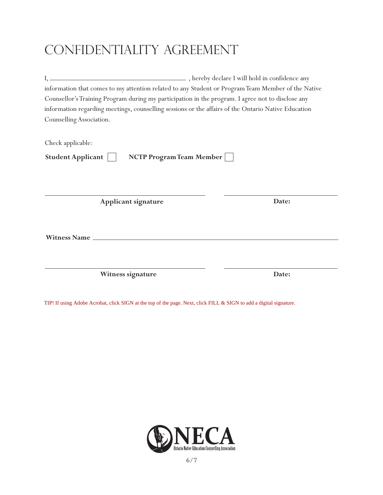### CONFIDENTIALITY AGREEMENT

|                                                                                                     | information that comes to my attention related to any Student or Program Team Member of the Native |  |  |  |  |  |
|-----------------------------------------------------------------------------------------------------|----------------------------------------------------------------------------------------------------|--|--|--|--|--|
| Counsellor's Training Program during my participation in the program. I agree not to disclose any   |                                                                                                    |  |  |  |  |  |
| information regarding meetings, counselling sessions or the affairs of the Ontario Native Education |                                                                                                    |  |  |  |  |  |
| Counselling Association.                                                                            |                                                                                                    |  |  |  |  |  |
|                                                                                                     |                                                                                                    |  |  |  |  |  |
| Check applicable:                                                                                   |                                                                                                    |  |  |  |  |  |
| <b>NCTP Program Team Member</b><br>Student Applicant                                                |                                                                                                    |  |  |  |  |  |
|                                                                                                     |                                                                                                    |  |  |  |  |  |
|                                                                                                     |                                                                                                    |  |  |  |  |  |
|                                                                                                     |                                                                                                    |  |  |  |  |  |
| Applicant signature                                                                                 | Date:                                                                                              |  |  |  |  |  |
|                                                                                                     |                                                                                                    |  |  |  |  |  |
|                                                                                                     |                                                                                                    |  |  |  |  |  |
|                                                                                                     |                                                                                                    |  |  |  |  |  |
|                                                                                                     |                                                                                                    |  |  |  |  |  |
|                                                                                                     |                                                                                                    |  |  |  |  |  |
|                                                                                                     | Date:                                                                                              |  |  |  |  |  |
| Witness signature                                                                                   |                                                                                                    |  |  |  |  |  |

TIP! If using Adobe Acrobat, click SIGN at the top of the page. Next, click FILL & SIGN to add a digital signature.